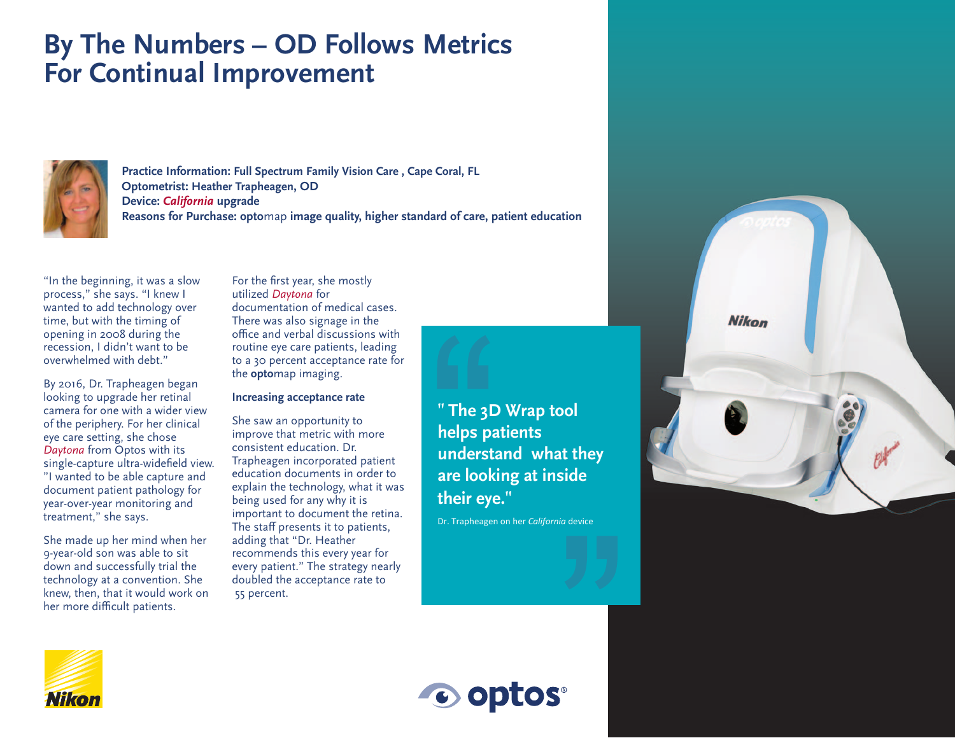## **By The Numbers – OD Follows Metrics For Continual Improvement**



**Practice Information: Full Spectrum Family Vision Care , Cape Coral, FL Optometrist: Heather Trapheagen, OD Device:** *California* **upgrade Reasons for Purchase: opto**map **image quality, higher standard of care, patient education**

"In the beginning, it was a slow process," she says. "I knew I wanted to add technology over time, but with the timing of opening in 2008 during the recession, I didn't want to be overwhelmed with debt."

By 2016, Dr. Trapheagen began looking to upgrade her retinal camera for one with a wider view of the periphery. For her clinical eye care setting, she chose *Daytona* from Optos with its single-capture ultra-widefield view. "I wanted to be able capture and document patient pathology for year-over-year monitoring and treatment," she says.

She made up her mind when her 9-year-old son was able to sit down and successfully trial the technology at a convention. She knew, then, that it would work on her more difficult patients.

For the first year, she mostly utilized *Daytona* for documentation of medical cases. There was also signage in the office and verbal discussions with routine eye care patients, leading to a 30 percent acceptance rate for the **opto**map imaging.

## **Increasing acceptance rate**

She saw an opportunity to improve that metric with more consistent education. Dr. Trapheagen incorporated patient education documents in order to explain the technology, what it was being used for any why it is important to document the retina. The staff presents it to patients, adding that "Dr. Heather recommends this every year for every patient." The strategy nearly doubled the acceptance rate to 55 percent.

**" The 3D Wrap tool helps patients understand what they are looking at inside their eye."**

Dr. Trapheagen on her *California* device